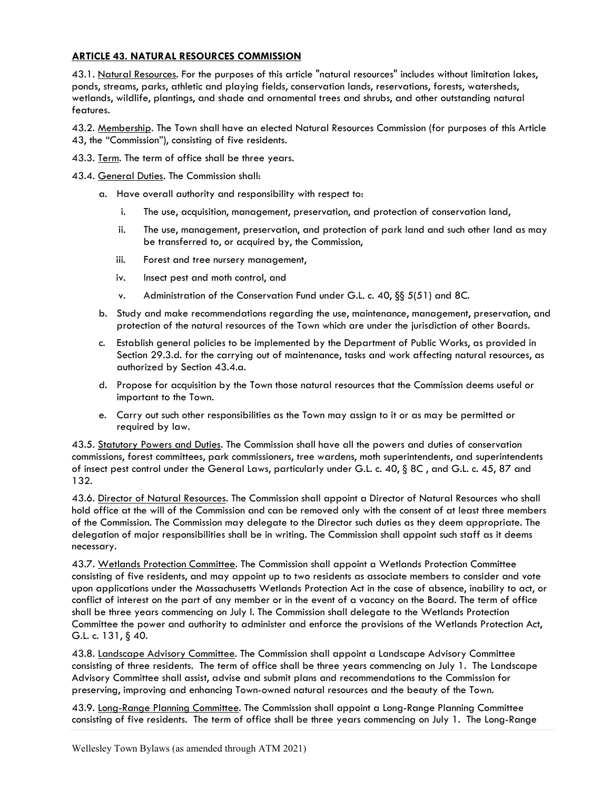## ARTICLE 43. NATURAL RESOURCES COMMISSION

43.1. Natural Resources. For the purposes of this article "natural resources" includes without limitation lakes, ponds, streams, parks, athletic and playing fields, conservation lands, reservations, forests, watersheds, wetlands, wildlife, plantings, and shade and ornamental trees and shrubs, and other outstanding natural features.

43.2. Membership. The Town shall have an elected Natural Resources Commission (for purposes of this Article 43, the "Commission"), consisting of five residents.

- 43.3. Term. The term of office shall be three years.
- 43.4. General Duties. The Commission shall:
	- a. Have overall authority and responsibility with respect to:
		- i. The use, acquisition, management, preservation, and protection of conservation land,
		- ii. The use, management, preservation, and protection of park land and such other land as may be transferred to, or acquired by, the Commission,
		- iii. Forest and tree nursery management,
		- iv. Insect pest and moth control, and
		- v. Administration of the Conservation Fund under G.L. c. 40, §§ 5(51) and 8C.
	- b. Study and make recommendations regarding the use, maintenance, management, preservation, and protection of the natural resources of the Town which are under the jurisdiction of other Boards.
	- c. Establish general policies to be implemented by the Department of Public Works, as provided in Section 29.3.d. for the carrying out of maintenance, tasks and work affecting natural resources, as authorized by Section 43.4.a.
	- d. Propose for acquisition by the Town those natural resources that the Commission deems useful or important to the Town.
	- e. Carry out such other responsibilities as the Town may assign to it or as may be permitted or required by law.

43.5. Statutory Powers and Duties. The Commission shall have all the powers and duties of conservation commissions, forest committees, park commissioners, tree wardens, moth superintendents, and superintendents of insect pest control under the General Laws, particularly under G.L. c. 40, § 8C , and G.L. c. 45, 87 and 132.

43.6. Director of Natural Resources. The Commission shall appoint a Director of Natural Resources who shall hold office at the will of the Commission and can be removed only with the consent of at least three members of the Commission. The Commission may delegate to the Director such duties as they deem appropriate. The delegation of major responsibilities shall be in writing. The Commission shall appoint such staff as it deems necessary.

43.7. Wetlands Protection Committee. The Commission shall appoint a Wetlands Protection Committee consisting of five residents, and may appoint up to two residents as associate members to consider and vote upon applications under the Massachusetts Wetlands Protection Act in the case of absence, inability to act, or conflict of interest on the part of any member or in the event of a vacancy on the Board. The term of office shall be three years commencing on July l. The Commission shall delegate to the Wetlands Protection Committee the power and authority to administer and enforce the provisions of the Wetlands Protection Act, G.L. c. 131, § 40.

43.8. Landscape Advisory Committee. The Commission shall appoint a Landscape Advisory Committee consisting of three residents. The term of office shall be three years commencing on July 1. The Landscape Advisory Committee shall assist, advise and submit plans and recommendations to the Commission for preserving, improving and enhancing Town-owned natural resources and the beauty of the Town.

43.9. Long-Range Planning Committee. The Commission shall appoint a Long-Range Planning Committee consisting of five residents. The term of office shall be three years commencing on July 1. The Long-Range